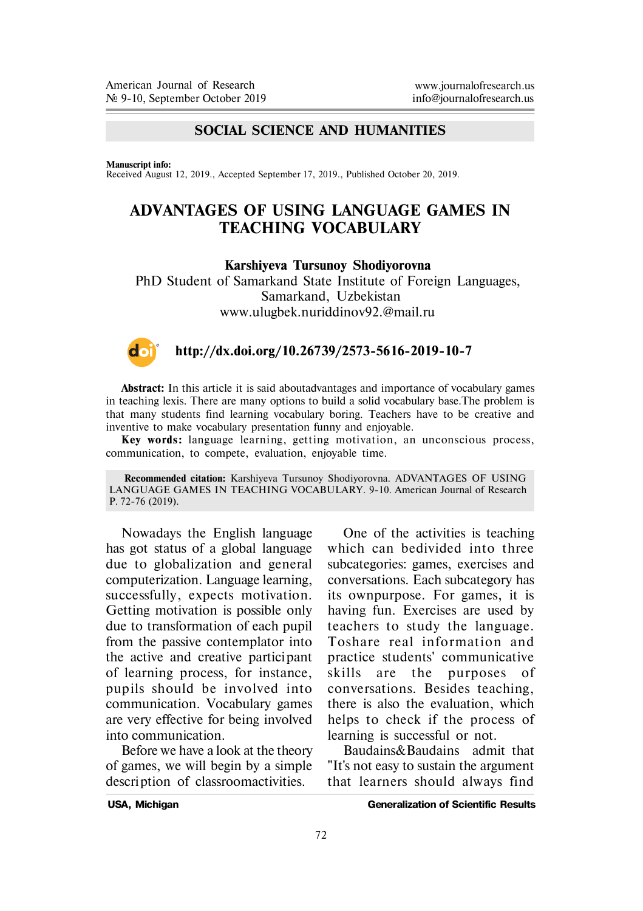## **SOCIAL SCIENCE AND HUMANITIES**

**Manuscript info:**

Received August 12, 2019., Accepted September 17, 2019., Published October 20, 2019.

## **ADVANTAGES OF USING LANGUAGE GAMES IN TEACHING VOCABULARY**

**Karshiyeva Tursunoy Shodiyorovna**

PhD Student of Samarkand State Institute of Foreign Languages, Samarkand, Uzbekistan www.ulugbek.nuriddinov92.@mail.ru



## **http://dx.doi.org/10.26739/2573-5616-2019-10-7**

**Abstract:** In this article it is said aboutadvantages and importance of vocabulary games in teaching lexis. There are many options to build a solid vocabulary base.The problem is that many students find learning vocabulary boring. Teachers have to be creative and inventive to make vocabulary presentation funny and enjoyable.

**Key words :** language learning, getting motivation, an unconscious process, communication, to compete, evaluation, enjoyable time.

**Recommended citation:** Karshiyeva Tursunoy Shodiyorovna. ADVANTAGES OF USING LANGUAGE GAMES IN TEACHING VOCABULARY. 9-10. American Journal of Research P. 72-76 (2019).

Nowadays the English language has got status of a global language due to globalization and general computerization. Language learning, successfully, expects motivation. Getting motivation is possible only due to transformation of each pupil from the passive contemplator into the active and creative participant of learning process, for instance, pupils should be involved into communication. Vocabulary games are very effective for being involved into communication.

Before we have a look at the theory of games, we will begin by a simple description of classroomactivities.

One of the activities is teaching which can bedivided into three subcategories: games, exercises and conversations. Each subcategory has its ownpurpose. For games, it is having fun. Exercises are used by teachers to study the language. Toshare real in formation and practice students' communicative skills are the purposes of conversations. Besides teaching, there is also the evaluation, which helps to check if the process of learning is successful or not.

Baudains&Baudains admit that "It's not easy to sustain the argument that learners should always find

**USA, Michigan Generalization of Scientific Results**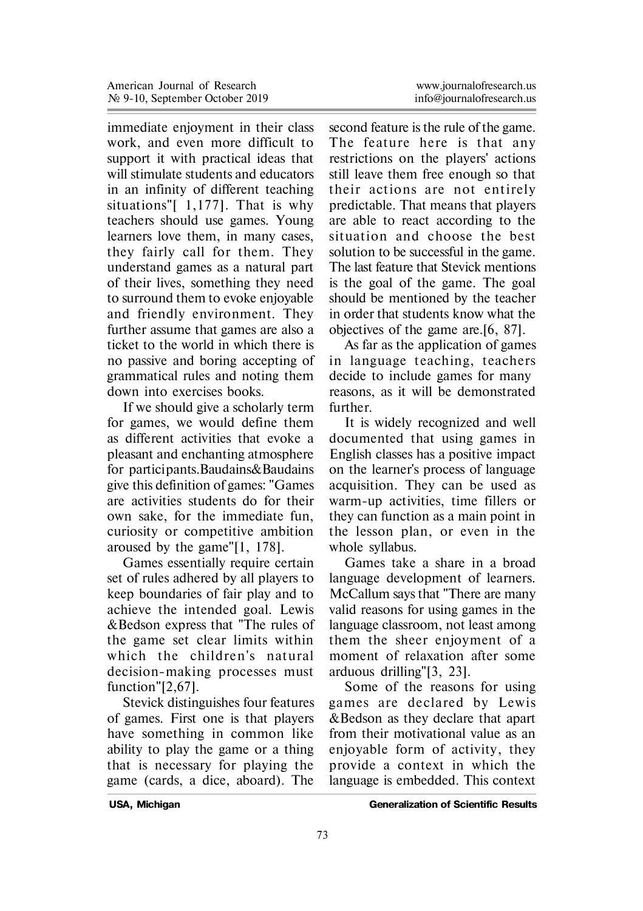immediate enjoyment in their class work, and even more difficult to support it with practical ideas that will stimulate students and educators in an infinity of different teaching situations"[ 1,177]. That is why teachers should use games. Young learners love them, in many cases, they fairly call for them. They understand games as a natural part of their lives, something they need to surround them to evoke enjoyable and friendly environment. They further assume that games are also a ticket to the world in which there is no passive and boring accepting of grammatical rules and noting them down into exercises books.

If we should give a scholarly term for games, we would define them as different activities that evoke a pleasant and enchanting atmosphere for participants. Baudains&Baudains give this definition of games: "Games are activities students do for their own sake, for the immediate fun, curiosity or competitive ambition aroused by the game"[1, 178].

Games essentially require certain set of rules adhered by all players to keep boundaries of fair play and to achieve the intended goal. Lewis &Bedson express that "The rules of the game set clear limits within which the children's natural decision-making processes must function"[2,67].

Stevick distinguishes four features of games. First one is that players have something in common like ability to play the game or a thing that is necessary for playing the game (cards, a dice, aboard). The

second feature is the rule of the game. The feature here is that any restrictions on the players' actions still leave them free enough so that their actions are not entirely predictable. That means that players are able to react according to the situation and choose the best solution to be successful in the game. The last feature that Stevick mentions is the goal of the game. The goal should be mentioned by the teacher in order that students know what the objectives of the game are.[6, 87].

As far as the application of games in language teaching, teachers decide to include games for many reasons, as it will be demonstrated further.

It is widely recognized and well documented that using games in English classes has a positive impact on the learner's process of language acquisition. They can be used as warm-up activities, time fillers or they can function as a main point in the lesson plan, or even in the whole syllabus.

Games take a share in a broad language development of learners. McCallum says that "There are many valid reasons for using games in the language classroom, not least among them the sheer enjoyment of a moment of relaxation after some arduous drilling"[3, 23].

Some of the reasons for using games are declared by Lewis &Bedson as they declare that apart from their motivational value as an enjoyable form of activity, they provide a context in which the language is embedded. This context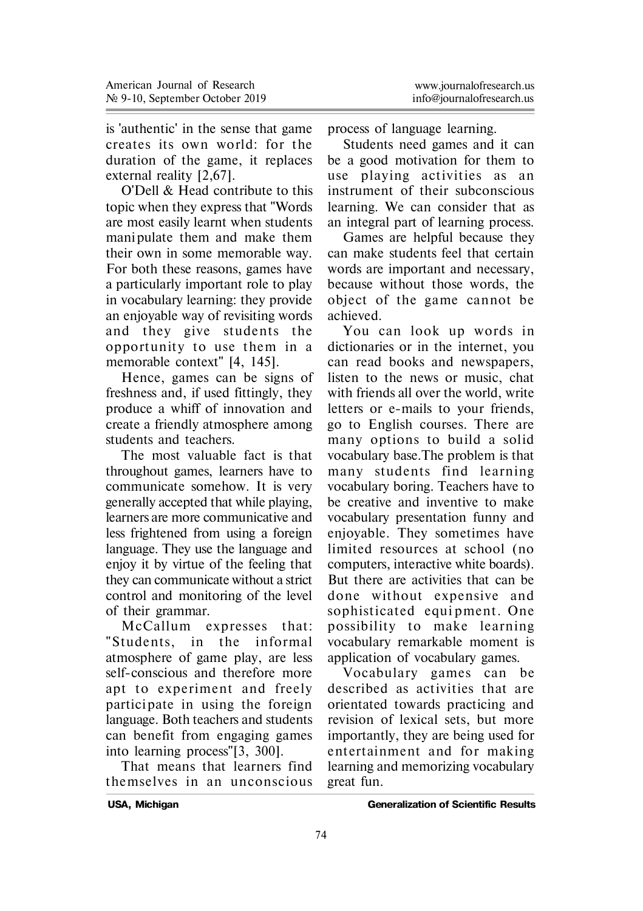is 'authentic' in the sense that game creates its own world: for the duration of the game, it replaces external reality [2,67].

O'Dell & Head contribute to this topic when they express that "Words are most easily learnt when students mani pulate them and make them their own in some memorable way. For both these reasons, games have a particularly important role to play in vocabulary learning: they provide an enjoyable way of revisiting words and they give students the opportunity to use them in a memorable context" [4, 145].

Hence, games can be signs of freshness and, if used fittingly, they produce a whiff of innovation and create a friendly atmosphere among students and teachers.

The most valuable fact is that throughout games, learners have to communicate somehow. It is very generally accepted that while playing, learners are more communicative and less frightened from using a foreign language. They use the language and enjoy it by virtue of the feeling that they can communicate without a strict control and monitoring of the level of their grammar.

McCallum expresses that: "Students, in the informal atmosphere of game play, are less self-conscious and therefore more apt to experiment and freely participate in using the foreign language. Both teachers and students can benefit from engaging games into learning process"[3, 300].

That means that learners find themselves in an unconscious process of language learning.

Students need games and it can be a good motivation for them to use playing activities as an instrument of their subconscious learning. We can consider that as an integral part of learning process.

Games are helpful because they can make students feel that certain words are important and necessary, because without those words, the object of the game cannot be achieved.

You can look up words in dictionaries or in the internet, you can read books and newspapers, listen to the news or music, chat with friends all over the world, write letters or e-mails to your friends, go to English courses. There are many options to build a solid vocabulary base.The problem is that many students find learning vocabulary boring. Teachers have to be creative and inventive to make vocabulary presentation funny and enjoyable. They sometimes have limited resources at school (no computers, interactive white boards). But there are activities that can be done without expensive and sophisticated equipment. One possibility to make learning vocabulary remarkable moment is application of vocabulary games.

Vocabulary games can be described as activities that are orientated towards practicing and revision of lexical sets, but more importantly, they are being used for entertainment and for making learning and memorizing vocabulary great fun.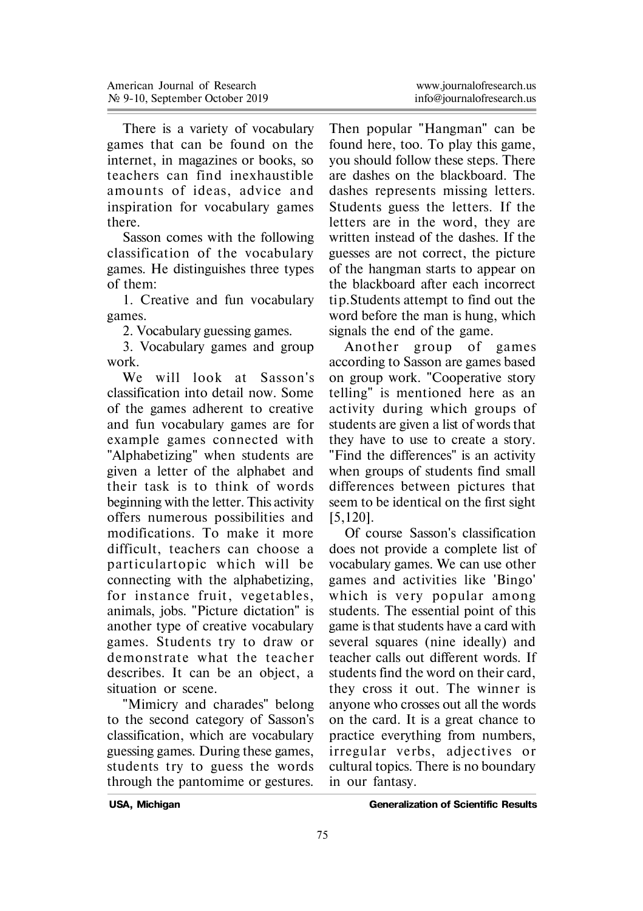There is a variety of vocabulary games that can be found on the internet, in magazines or books, so teachers can find inexhaustible amounts of ideas, advice and inspiration for vocabulary games there.

Sasson comes with the following classification of the vocabulary games. He distinguishes three types of them:

1. Creative and fun vocabulary games.

2. Vocabulary guessing games.

3. Vocabulary games and group work.

We will look at Sasson's classification into detail now. Some of the games adherent to creative and fun vocabulary games are for example games connected with "Alphabetizing" when students are given a letter of the alphabet and their task is to think of words beginning with the letter. This activity offers numerous possibilities and modifications. To make it more difficult, teachers can choose a particulartopic which will be connecting with the alphabetizing, for instance fruit, vegetables, animals, jobs. "Picture dictation" is another type of creative vocabulary games. Students try to draw or demonstrate what the teacher describes. It can be an object, a situation or scene.

"Mimicry and charades" belong to the second category of Sasson's classification, which are vocabulary guessing games. During these games, students try to guess the words through the pantomime or gestures.

Then popular "Hangman" can be found here, too. To play this game, you should follow these steps. There are dashes on the blackboard. The dashes represents missing letters. Students guess the letters. If the letters are in the word, they are written instead of the dashes. If the guesses are not correct, the picture of the hangman starts to appear on the blackboard after each incorrect tip. Students attempt to find out the word before the man is hung, which signals the end of the game.

Another group of games according to Sasson are games based on group work. "Cooperative story telling" is mentioned here as an activity during which groups of students are given a list of words that they have to use to create a story. "Find the differences" is an activity when groups of students find small differences between pictures that seem to be identical on the first sight [5,120].

Of course Sasson's classification does not provide a complete list of vocabulary games. We can use other games and activities like 'Bingo' which is very popular among students. The essential point of this game is that students have a card with several squares (nine ideally) and teacher calls out different words. If students find the word on their card, they cross it out. The winner is anyone who crosses out all the words on the card. It is a great chance to practice everything from numbers, irregular verbs, adjectives or cultural topics. There is no boundary in our fantasy.